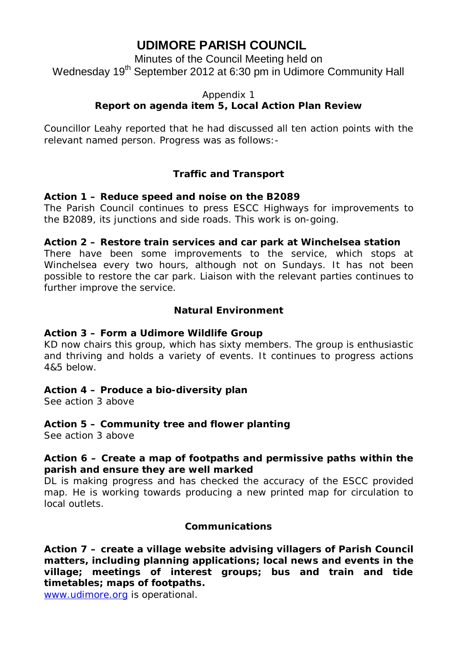# **UDIMORE PARISH COUNCIL**

Minutes of the Council Meeting held on Wednesday 19<sup>th</sup> September 2012 at 6:30 pm in Udimore Community Hall

#### Appendix 1

# **Report on agenda item 5, Local Action Plan Review**

Councillor Leahy reported that he had discussed all ten action points with the relevant named person. Progress was as follows:-

# **Traffic and Transport**

## **Action 1 – Reduce speed and noise on the B2089**

The Parish Council continues to press ESCC Highways for improvements to the B2089, its junctions and side roads. This work is on-going.

#### **Action 2 – Restore train services and car park at Winchelsea station**

There have been some improvements to the service, which stops at Winchelsea every two hours, although not on Sundays. It has not been possible to restore the car park. Liaison with the relevant parties continues to further improve the service.

## **Natural Environment**

## **Action 3 – Form a Udimore Wildlife Group**

KD now chairs this group, which has sixty members. The group is enthusiastic and thriving and holds a variety of events. It continues to progress actions 4&5 below.

#### **Action 4 – Produce a bio-diversity plan**

See action 3 above

# **Action 5 – Community tree and flower planting**

See action 3 above

## **Action 6 – Create a map of footpaths and permissive paths within the parish and ensure they are well marked**

DL is making progress and has checked the accuracy of the ESCC provided map. He is working towards producing a new printed map for circulation to local outlets.

#### **Communications**

**Action 7 – create a village website advising villagers of Parish Council matters, including planning applications; local news and events in the village; meetings of interest groups; bus and train and tide timetables; maps of footpaths.**

www.udimore.org is operational.